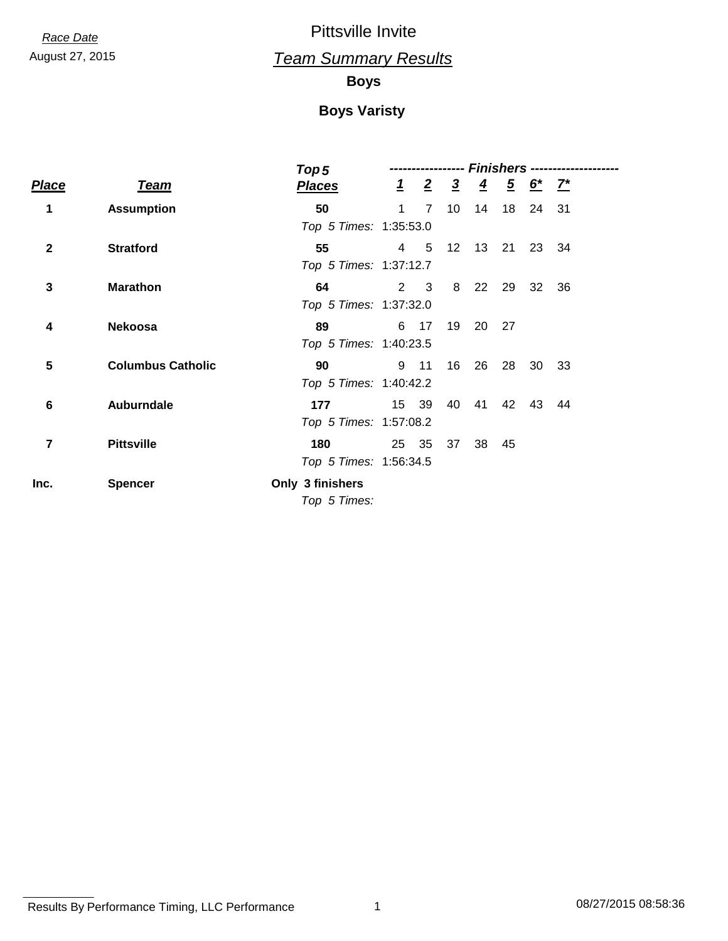August 27, 2015 *Team Summary Results*

#### **Boys**

|              |                          | Top 5                  | Finishers ----- |                 |                  |                |                |             |       |  |
|--------------|--------------------------|------------------------|-----------------|-----------------|------------------|----------------|----------------|-------------|-------|--|
| <u>Place</u> | <u>Team</u>              | <b>Places</b>          |                 | $\frac{1}{2}$ 2 | $\overline{3}$   | $\overline{4}$ | $\overline{5}$ | $6^*$ $7^*$ |       |  |
| 1            | <b>Assumption</b>        | 50                     | $\mathbf 1$     | $7\overline{ }$ | 10 <sup>°</sup>  | 14             | 18             | 24 31       |       |  |
|              |                          | Top 5 Times: 1:35:53.0 |                 |                 |                  |                |                |             |       |  |
| $\mathbf{2}$ | <b>Stratford</b>         | 55                     | $\overline{4}$  | $-5$            | 12 <sup>12</sup> |                | 13 21          |             | 23 34 |  |
|              |                          | Top 5 Times: 1:37:12.7 |                 |                 |                  |                |                |             |       |  |
| 3            | <b>Marathon</b>          | 64                     |                 | $2 \quad 3$     | 8                |                | 22 29          | 32          | - 36  |  |
|              |                          | Top 5 Times: 1:37:32.0 |                 |                 |                  |                |                |             |       |  |
| 4            | <b>Nekoosa</b>           | 89                     |                 | 6 17            | 19               |                | 20 27          |             |       |  |
|              |                          | Top 5 Times: 1:40:23.5 |                 |                 |                  |                |                |             |       |  |
| 5            | <b>Columbus Catholic</b> | 90                     |                 | 9 11            | 16               | 26             | 28             |             | 30 33 |  |
|              |                          | Top 5 Times: 1:40:42.2 |                 |                 |                  |                |                |             |       |  |
| 6            | <b>Auburndale</b>        | 177                    |                 | 15 39           | 40               | 41             | 42             | 43          | - 44  |  |
|              |                          | Top 5 Times: 1:57:08.2 |                 |                 |                  |                |                |             |       |  |
| 7            | <b>Pittsville</b>        | 180                    |                 | 25 35           | 37               | 38             | 45             |             |       |  |
|              |                          | Top 5 Times: 1:56:34.5 |                 |                 |                  |                |                |             |       |  |
| Inc.         | <b>Spencer</b>           | Only 3 finishers       |                 |                 |                  |                |                |             |       |  |
|              |                          | Top 5 Times:           |                 |                 |                  |                |                |             |       |  |

Results By Performance Timing, LLC Performance 1 08/27/2015 08:58:36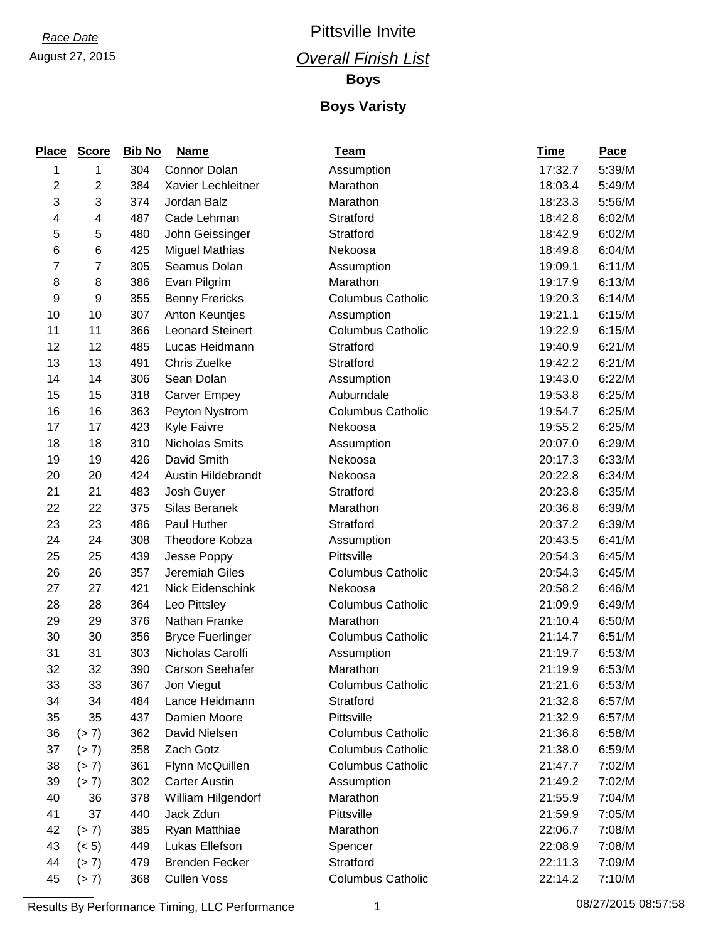### August 27, 2015 *Overall Finish List Race Date* Pittsville Invite

**Boys**

#### **Boys Varisty**

| <b>Place</b> | <b>Score</b>   | <b>Bib No</b> | <b>Name</b>             | <b>Team</b>              | <u>Time</u> | <b>Pace</b> |
|--------------|----------------|---------------|-------------------------|--------------------------|-------------|-------------|
| 1            | 1              | 304           | Connor Dolan            | Assumption               | 17:32.7     | 5:39/M      |
| 2            | $\overline{c}$ | 384           | Xavier Lechleitner      | Marathon                 | 18:03.4     | 5:49/M      |
| 3            | 3              | 374           | Jordan Balz             | Marathon                 | 18:23.3     | 5:56/M      |
| 4            | 4              | 487           | Cade Lehman             | Stratford                | 18:42.8     | 6:02/M      |
| 5            | 5              | 480           | John Geissinger         | Stratford                | 18:42.9     | 6:02/M      |
| 6            | 6              | 425           | <b>Miguel Mathias</b>   | Nekoosa                  | 18:49.8     | 6:04/M      |
| 7            | 7              | 305           | Seamus Dolan            | Assumption               | 19:09.1     | 6:11/M      |
| 8            | 8              | 386           | Evan Pilgrim            | Marathon                 | 19:17.9     | 6:13/M      |
| 9            | $9$            | 355           | <b>Benny Frericks</b>   | <b>Columbus Catholic</b> | 19:20.3     | 6:14/M      |
| 10           | 10             | 307           | <b>Anton Keuntjes</b>   | Assumption               | 19:21.1     | 6:15/M      |
| 11           | 11             | 366           | <b>Leonard Steinert</b> | <b>Columbus Catholic</b> | 19:22.9     | 6:15/M      |
| 12           | 12             | 485           | Lucas Heidmann          | Stratford                | 19:40.9     | 6:21/M      |
| 13           | 13             | 491           | Chris Zuelke            | Stratford                | 19:42.2     | 6:21/M      |
| 14           | 14             | 306           | Sean Dolan              | Assumption               | 19:43.0     | 6:22/M      |
| 15           | 15             | 318           | <b>Carver Empey</b>     | Auburndale               | 19:53.8     | 6:25/M      |
| 16           | 16             | 363           | Peyton Nystrom          | <b>Columbus Catholic</b> | 19:54.7     | 6:25/M      |
| 17           | 17             | 423           | Kyle Faivre             | Nekoosa                  | 19:55.2     | 6:25/M      |
| 18           | 18             | 310           | Nicholas Smits          | Assumption               | 20:07.0     | 6:29/M      |
| 19           | 19             | 426           | David Smith             | Nekoosa                  | 20:17.3     | 6:33/M      |
| 20           | 20             | 424           | Austin Hildebrandt      | Nekoosa                  | 20:22.8     | 6:34/M      |
| 21           | 21             | 483           | Josh Guyer              | Stratford                | 20:23.8     | 6:35/M      |
| 22           | 22             | 375           | Silas Beranek           | Marathon                 | 20:36.8     | 6:39/M      |
| 23           | 23             | 486           | Paul Huther             | Stratford                | 20:37.2     | 6:39/M      |
| 24           | 24             | 308           | Theodore Kobza          | Assumption               | 20:43.5     | 6:41/M      |
| 25           | 25             | 439           | Jesse Poppy             | Pittsville               | 20:54.3     | 6:45/M      |
| 26           | 26             | 357           | Jeremiah Giles          | <b>Columbus Catholic</b> | 20:54.3     | 6:45/M      |
| 27           | 27             | 421           | Nick Eidenschink        | Nekoosa                  | 20:58.2     | 6:46/M      |
| 28           | 28             | 364           | Leo Pittsley            | <b>Columbus Catholic</b> | 21:09.9     | 6:49/M      |
| 29           | 29             | 376           | Nathan Franke           | Marathon                 | 21:10.4     | 6:50/M      |
| 30           | 30             | 356           | <b>Bryce Fuerlinger</b> | <b>Columbus Catholic</b> | 21:14.7     | 6:51/M      |
| 31           | 31             | 303           | Nicholas Carolfi        | Assumption               | 21:19.7     | 6:53/M      |
| 32           | 32             | 390           | <b>Carson Seehafer</b>  | Marathon                 | 21:19.9     | 6:53/M      |
| 33           | 33             | 367           | Jon Viegut              | <b>Columbus Catholic</b> | 21:21.6     | 6:53/M      |
| 34           | 34             | 484           | Lance Heidmann          | Stratford                | 21:32.8     | 6:57/M      |
| 35           | 35             | 437           | Damien Moore            | Pittsville               | 21:32.9     | 6:57/M      |
| 36           | (> 7)          | 362           | David Nielsen           | <b>Columbus Catholic</b> | 21:36.8     | 6:58/M      |
| 37           | (> 7)          | 358           | Zach Gotz               | <b>Columbus Catholic</b> | 21:38.0     | 6:59/M      |
| 38           | (> 7)          | 361           | Flynn McQuillen         | <b>Columbus Catholic</b> | 21:47.7     | 7:02/M      |
| 39           | (> 7)          | 302           | <b>Carter Austin</b>    | Assumption               | 21:49.2     | 7:02/M      |
| 40           | 36             | 378           | William Hilgendorf      | Marathon                 | 21:55.9     | 7:04/M      |
| 41           | 37             | 440           | Jack Zdun               | Pittsville               | 21:59.9     | 7:05/M      |
| 42           | (> 7)          | 385           | Ryan Matthiae           | Marathon                 | 22:06.7     | 7:08/M      |
| 43           | (< 5)          | 449           | Lukas Ellefson          | Spencer                  | 22:08.9     | 7:08/M      |
| 44           | (> 7)          | 479           | <b>Brenden Fecker</b>   | Stratford                | 22:11.3     | 7:09/M      |
| 45           | (> 7)          | 368           | <b>Cullen Voss</b>      | <b>Columbus Catholic</b> | 22:14.2     | 7:10/M      |

Results By Performance Timing, LLC Performance 1 08/27/2015 08:57:58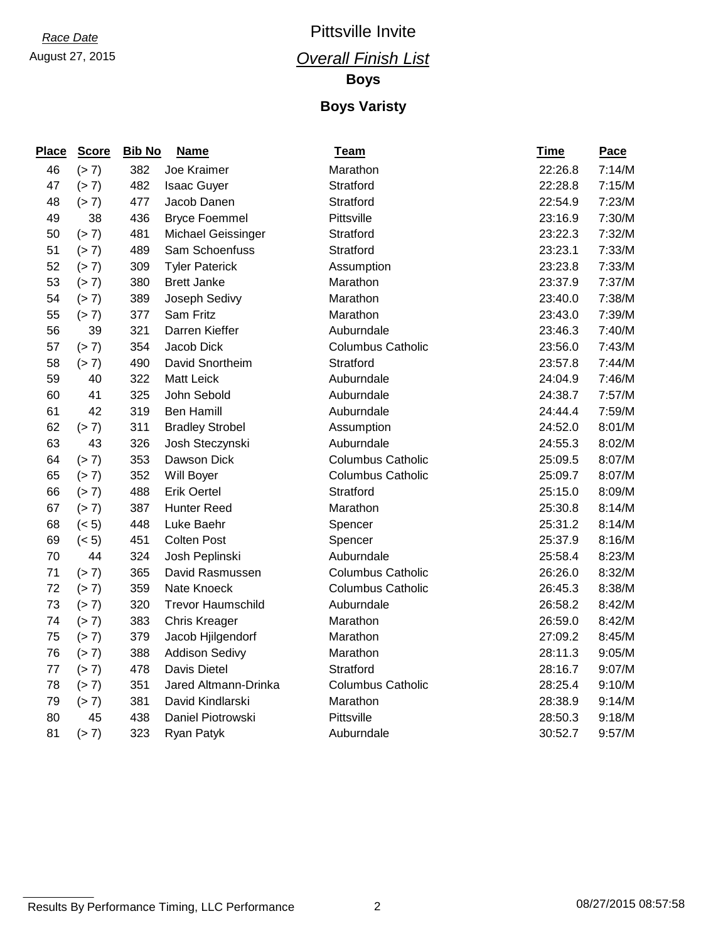#### August 27, 2015 *Overall Finish List*

**Boys**

| <b>Place</b> | <b>Score</b> | <b>Bib No</b> | <b>Name</b>              | <b>Team</b>              | <b>Time</b> | Pace   |
|--------------|--------------|---------------|--------------------------|--------------------------|-------------|--------|
| 46           | (> 7)        | 382           | Joe Kraimer              | Marathon                 | 22:26.8     | 7:14/M |
| 47           | (> 7)        | 482           | <b>Isaac Guyer</b>       | Stratford                | 22:28.8     | 7:15/M |
| 48           | (> 7)        | 477           | Jacob Danen              | Stratford                | 22:54.9     | 7:23/M |
| 49           | 38           | 436           | <b>Bryce Foemmel</b>     | Pittsville               | 23:16.9     | 7:30/M |
| 50           | (> 7)        | 481           | Michael Geissinger       | Stratford                | 23:22.3     | 7:32/M |
| 51           | (> 7)        | 489           | Sam Schoenfuss           | Stratford                | 23:23.1     | 7:33/M |
| 52           | (> 7)        | 309           | <b>Tyler Paterick</b>    | Assumption               | 23:23.8     | 7:33/M |
| 53           | (> 7)        | 380           | <b>Brett Janke</b>       | Marathon                 | 23:37.9     | 7:37/M |
| 54           | (> 7)        | 389           | Joseph Sedivy            | Marathon                 | 23:40.0     | 7:38/M |
| 55           | (> 7)        | 377           | Sam Fritz                | Marathon                 | 23:43.0     | 7:39/M |
| 56           | 39           | 321           | Darren Kieffer           | Auburndale               | 23:46.3     | 7:40/M |
| 57           | (> 7)        | 354           | Jacob Dick               | <b>Columbus Catholic</b> | 23:56.0     | 7:43/M |
| 58           | (> 7)        | 490           | David Snortheim          | Stratford                | 23:57.8     | 7:44/M |
| 59           | 40           | 322           | <b>Matt Leick</b>        | Auburndale               | 24:04.9     | 7:46/M |
| 60           | 41           | 325           | John Sebold              | Auburndale               | 24:38.7     | 7:57/M |
| 61           | 42           | 319           | <b>Ben Hamill</b>        | Auburndale               | 24:44.4     | 7:59/M |
| 62           | (> 7)        | 311           | <b>Bradley Strobel</b>   | Assumption               | 24:52.0     | 8:01/M |
| 63           | 43           | 326           | Josh Steczynski          | Auburndale               | 24:55.3     | 8:02/M |
| 64           | (> 7)        | 353           | Dawson Dick              | <b>Columbus Catholic</b> | 25:09.5     | 8:07/M |
| 65           | (> 7)        | 352           | Will Boyer               | <b>Columbus Catholic</b> | 25:09.7     | 8:07/M |
| 66           | (> 7)        | 488           | <b>Erik Oertel</b>       | Stratford                | 25:15.0     | 8:09/M |
| 67           | (> 7)        | 387           | <b>Hunter Reed</b>       | Marathon                 | 25:30.8     | 8:14/M |
| 68           | (< 5)        | 448           | Luke Baehr               | Spencer                  | 25:31.2     | 8:14/M |
| 69           | (< 5)        | 451           | <b>Colten Post</b>       | Spencer                  | 25:37.9     | 8:16/M |
| 70           | 44           | 324           | Josh Peplinski           | Auburndale               | 25:58.4     | 8:23/M |
| 71           | (> 7)        | 365           | David Rasmussen          | <b>Columbus Catholic</b> | 26:26.0     | 8:32/M |
| 72           | (> 7)        | 359           | Nate Knoeck              | <b>Columbus Catholic</b> | 26:45.3     | 8:38/M |
| 73           | (> 7)        | 320           | <b>Trevor Haumschild</b> | Auburndale               | 26:58.2     | 8:42/M |
| 74           | (> 7)        | 383           | <b>Chris Kreager</b>     | Marathon                 | 26:59.0     | 8:42/M |
| 75           | (> 7)        | 379           | Jacob Hjilgendorf        | Marathon                 | 27:09.2     | 8:45/M |
| 76           | (> 7)        | 388           | <b>Addison Sedivy</b>    | Marathon                 | 28:11.3     | 9:05/M |
| 77           | (> 7)        | 478           | Davis Dietel             | Stratford                | 28:16.7     | 9:07/M |
| 78           | (> 7)        | 351           | Jared Altmann-Drinka     | <b>Columbus Catholic</b> | 28:25.4     | 9:10/M |
| 79           | (> 7)        | 381           | David Kindlarski         | Marathon                 | 28:38.9     | 9:14/M |
| 80           | 45           | 438           | Daniel Piotrowski        | Pittsville               | 28:50.3     | 9:18/M |
| 81           | (> 7)        | 323           | Ryan Patyk               | Auburndale               | 30:52.7     | 9:57/M |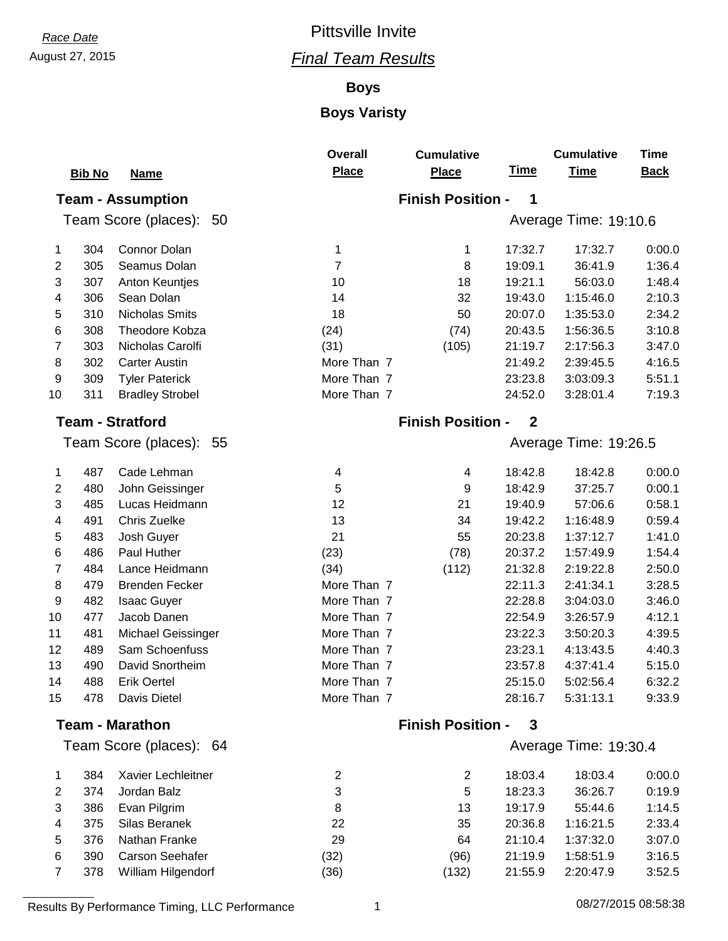### August 27, 2015 *Final Team Results*

#### **Boys**

|    |               |                          | <b>Overall</b> | <b>Cumulative</b>        |                | <b>Cumulative</b>     | Time        |
|----|---------------|--------------------------|----------------|--------------------------|----------------|-----------------------|-------------|
|    | <b>Bib No</b> | <b>Name</b>              | <b>Place</b>   | <b>Place</b>             | <u>Time</u>    | <b>Time</b>           | <b>Back</b> |
|    |               | <b>Team - Assumption</b> |                | <b>Finish Position -</b> | 1              |                       |             |
|    |               | Team Score (places): 50  |                |                          |                | Average Time: 19:10.6 |             |
| 1  | 304           | Connor Dolan             | 1              | 1                        | 17:32.7        | 17:32.7               | 0:00.0      |
| 2  | 305           | Seamus Dolan             | $\overline{7}$ | 8                        | 19:09.1        | 36:41.9               | 1:36.4      |
| 3  | 307           | <b>Anton Keuntjes</b>    | 10             | 18                       | 19:21.1        | 56:03.0               | 1:48.4      |
| 4  | 306           | Sean Dolan               | 14             | 32                       | 19:43.0        | 1:15:46.0             | 2:10.3      |
| 5  | 310           | <b>Nicholas Smits</b>    | 18             | 50                       | 20:07.0        | 1:35:53.0             | 2:34.2      |
| 6  | 308           | Theodore Kobza           | (24)           | (74)                     | 20:43.5        | 1:56:36.5             | 3:10.8      |
| 7  | 303           | Nicholas Carolfi         | (31)           | (105)                    | 21:19.7        | 2:17:56.3             | 3:47.0      |
| 8  | 302           | <b>Carter Austin</b>     | More Than 7    |                          | 21:49.2        | 2:39:45.5             | 4:16.5      |
| 9  | 309           | <b>Tyler Paterick</b>    | More Than 7    |                          | 23:23.8        | 3:03:09.3             | 5:51.1      |
| 10 | 311           | <b>Bradley Strobel</b>   | More Than 7    |                          | 24:52.0        | 3:28:01.4             | 7:19.3      |
|    |               | <b>Team - Stratford</b>  |                | <b>Finish Position -</b> | $\overline{2}$ |                       |             |
|    |               | Team Score (places): 55  |                |                          |                | Average Time: 19:26.5 |             |
| 1  | 487           | Cade Lehman              | 4              | 4                        | 18:42.8        | 18:42.8               | 0:00.0      |
| 2  | 480           | John Geissinger          | 5              | 9                        | 18:42.9        | 37:25.7               | 0:00.1      |
| 3  | 485           | Lucas Heidmann           | 12             | 21                       | 19:40.9        | 57:06.6               | 0:58.1      |
| 4  | 491           | Chris Zuelke             | 13             | 34                       | 19:42.2        | 1:16:48.9             | 0:59.4      |
| 5  | 483           | Josh Guyer               | 21             | 55                       | 20:23.8        | 1:37:12.7             | 1:41.0      |
| 6  | 486           | Paul Huther              | (23)           | (78)                     | 20:37.2        | 1:57:49.9             | 1:54.4      |
| 7  | 484           | Lance Heidmann           | (34)           | (112)                    | 21:32.8        | 2:19:22.8             | 2:50.0      |
| 8  | 479           | <b>Brenden Fecker</b>    | More Than 7    |                          | 22:11.3        | 2:41:34.1             | 3:28.5      |
| 9  | 482           | <b>Isaac Guyer</b>       | More Than 7    |                          | 22:28.8        | 3:04:03.0             | 3:46.0      |
| 10 | 477           | Jacob Danen              | More Than 7    |                          | 22:54.9        | 3:26:57.9             | 4:12.1      |
| 11 | 481           | Michael Geissinger       | More Than 7    |                          | 23:22.3        | 3:50:20.3             | 4:39.5      |
| 12 | 489           | Sam Schoenfuss           | More Than 7    |                          | 23:23.1        | 4:13:43.5             | 4:40.3      |
| 13 | 490           | David Snortheim          | More Than 7    |                          | 23:57.8        | 4:37:41.4             | 5:15.0      |
| 14 | 488           | <b>Erik Oertel</b>       | More Than 7    |                          | 25:15.0        | 5:02:56.4             | 6:32.2      |
| 15 | 478           | Davis Dietel             | More Than 7    |                          | 28:16.7        | 5:31:13.1             | 9:33.9      |
|    |               | <b>Team - Marathon</b>   |                | <b>Finish Position -</b> | 3              |                       |             |
|    |               | Team Score (places): 64  |                |                          |                | Average Time: 19:30.4 |             |
| 1  | 384           | Xavier Lechleitner       | 2              | 2                        | 18:03.4        | 18:03.4               | 0:00.0      |
| 2  | 374           | Jordan Balz              | 3              | 5                        | 18:23.3        | 36:26.7               | 0:19.9      |
| 3  | 386           | Evan Pilgrim             | 8              | 13                       | 19:17.9        | 55:44.6               | 1:14.5      |
| 4  | 375           | Silas Beranek            | 22             | 35                       | 20:36.8        | 1:16:21.5             | 2:33.4      |
| 5  | 376           | Nathan Franke            | 29             | 64                       | 21:10.4        | 1:37:32.0             | 3:07.0      |
| 6  | 390           | Carson Seehafer          | (32)           | (96)                     | 21:19.9        | 1:58:51.9             | 3:16.5      |
| 7  | 378           | William Hilgendorf       | (36)           | (132)                    | 21:55.9        | 2:20:47.9             | 3:52.5      |
|    |               |                          |                |                          |                |                       |             |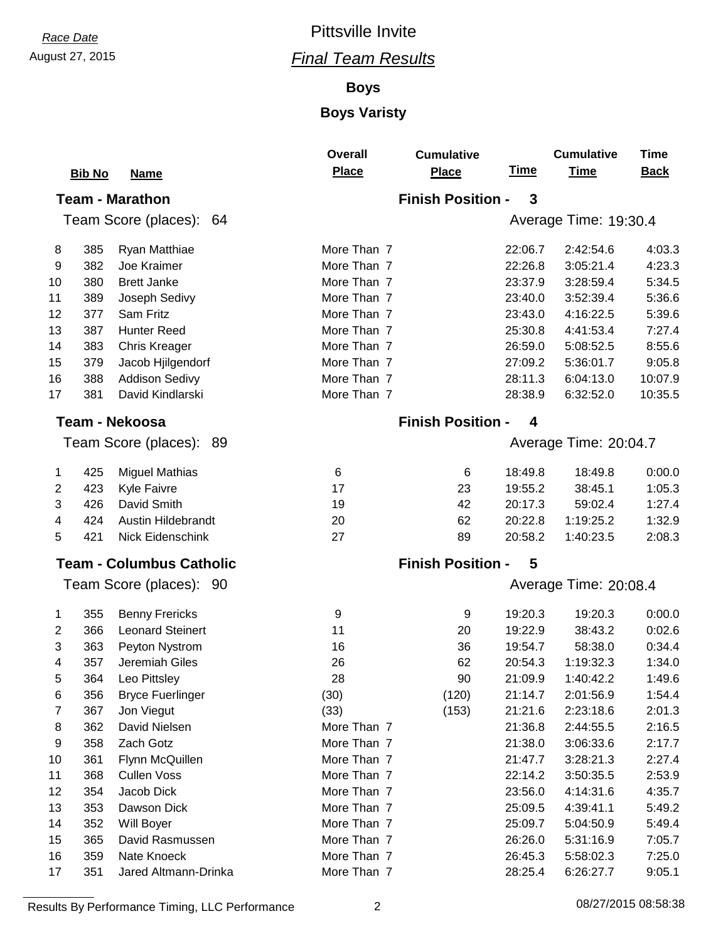### **Boys**

#### **Boys Varisty**

|    | <b>Bib No</b> | <b>Name</b>                     | <b>Overall</b><br><b>Place</b> | <b>Cumulative</b><br><b>Place</b> | <u>Time</u> | <b>Cumulative</b><br><b>Time</b> | Time<br><b>Back</b> |
|----|---------------|---------------------------------|--------------------------------|-----------------------------------|-------------|----------------------------------|---------------------|
|    |               | <b>Team - Marathon</b>          |                                | <b>Finish Position -</b>          | 3           |                                  |                     |
|    |               | Team Score (places):<br>-64     |                                |                                   |             | Average Time: 19:30.4            |                     |
| 8  | 385           | Ryan Matthiae                   | More Than 7                    |                                   | 22:06.7     | 2:42:54.6                        | 4:03.3              |
| 9  | 382           | Joe Kraimer                     | More Than 7                    |                                   | 22:26.8     | 3:05:21.4                        | 4:23.3              |
| 10 | 380           | <b>Brett Janke</b>              | More Than 7                    |                                   | 23:37.9     | 3:28:59.4                        | 5:34.5              |
| 11 | 389           | Joseph Sedivy                   | More Than 7                    |                                   | 23:40.0     | 3:52:39.4                        | 5:36.6              |
| 12 | 377           | Sam Fritz                       | More Than 7                    |                                   | 23:43.0     | 4:16:22.5                        | 5:39.6              |
| 13 | 387           | <b>Hunter Reed</b>              | More Than 7                    |                                   | 25:30.8     | 4:41:53.4                        | 7:27.4              |
| 14 | 383           | <b>Chris Kreager</b>            | More Than 7                    |                                   | 26:59.0     | 5:08:52.5                        | 8:55.6              |
| 15 | 379           | Jacob Hjilgendorf               | More Than 7                    |                                   | 27:09.2     | 5:36:01.7                        | 9:05.8              |
| 16 | 388           | <b>Addison Sedivy</b>           | More Than 7                    |                                   | 28:11.3     | 6:04:13.0                        | 10:07.9             |
| 17 | 381           | David Kindlarski                | More Than 7                    |                                   | 28:38.9     | 6:32:52.0                        | 10:35.5             |
|    |               | <b>Team - Nekoosa</b>           |                                | <b>Finish Position -</b>          | 4           |                                  |                     |
|    |               | Team Score (places):<br>-89     |                                |                                   |             | Average Time: 20:04.7            |                     |
| 1  | 425           | <b>Miguel Mathias</b>           | 6                              | 6                                 | 18:49.8     | 18:49.8                          | 0:00.0              |
| 2  | 423           | <b>Kyle Faivre</b>              | 17                             | 23                                | 19:55.2     | 38:45.1                          | 1:05.3              |
| 3  | 426           | David Smith                     | 19                             | 42                                | 20:17.3     | 59:02.4                          | 1:27.4              |
| 4  | 424           | Austin Hildebrandt              | 20                             | 62                                | 20:22.8     | 1:19:25.2                        | 1:32.9              |
| 5  | 421           | Nick Eidenschink                | 27                             | 89                                | 20:58.2     | 1:40:23.5                        | 2:08.3              |
|    |               | <b>Team - Columbus Catholic</b> |                                | <b>Finish Position -</b>          | 5           |                                  |                     |
|    |               | Team Score (places): 90         |                                |                                   |             | Average Time: 20:08.4            |                     |
| 1  | 355           | <b>Benny Frericks</b>           | 9                              | 9                                 | 19:20.3     | 19:20.3                          | 0:00.0              |
| 2  | 366           | <b>Leonard Steinert</b>         | 11                             | 20                                | 19:22.9     | 38:43.2                          | 0:02.6              |
| 3  | 363           | Peyton Nystrom                  | 16                             | 36                                | 19:54.7     | 58:38.0                          | 0:34.4              |
| 4  | 357           | Jeremiah Giles                  | 26                             | 62                                | 20:54.3     | 1:19:32.3                        | 1:34.0              |
| 5  | 364           | Leo Pittsley                    | 28                             | 90                                | 21:09.9     | 1:40:42.2                        | 1:49.6              |
| 6  | 356           | <b>Bryce Fuerlinger</b>         | (30)                           | (120)                             | 21:14.7     | 2:01:56.9                        | 1:54.4              |
| 7  | 367           | Jon Viegut                      | (33)                           | (153)                             | 21:21.6     | 2:23:18.6                        | 2:01.3              |
| 8  | 362           | David Nielsen                   | More Than 7                    |                                   | 21:36.8     | 2:44:55.5                        | 2:16.5              |
| 9  | 358           | Zach Gotz                       | More Than 7                    |                                   | 21:38.0     | 3:06:33.6                        | 2:17.7              |
| 10 | 361           | Flynn McQuillen                 | More Than 7                    |                                   | 21:47.7     | 3:28:21.3                        | 2:27.4              |
| 11 | 368           | <b>Cullen Voss</b>              | More Than 7                    |                                   | 22:14.2     | 3:50:35.5                        | 2:53.9              |
| 12 | 354           | Jacob Dick                      | More Than 7                    |                                   | 23:56.0     | 4:14:31.6                        | 4:35.7              |
| 13 | 353           | Dawson Dick                     | More Than 7                    |                                   | 25:09.5     | 4:39:41.1                        | 5:49.2              |
| 14 | 352           | Will Boyer                      | More Than 7                    |                                   | 25:09.7     | 5:04:50.9                        | 5:49.4              |
| 15 | 365           | David Rasmussen                 | More Than 7                    |                                   | 26:26.0     | 5:31:16.9                        | 7:05.7              |
| 16 | 359           | Nate Knoeck                     | More Than 7                    |                                   | 26:45.3     | 5:58:02.3                        | 7:25.0              |
| 17 | 351           | Jared Altmann-Drinka            | More Than 7                    |                                   | 28:25.4     | 6:26:27.7                        | 9:05.1              |

**Results By Performance Timing, LLC Performance 2** 2 08/27/2015 08:58:38